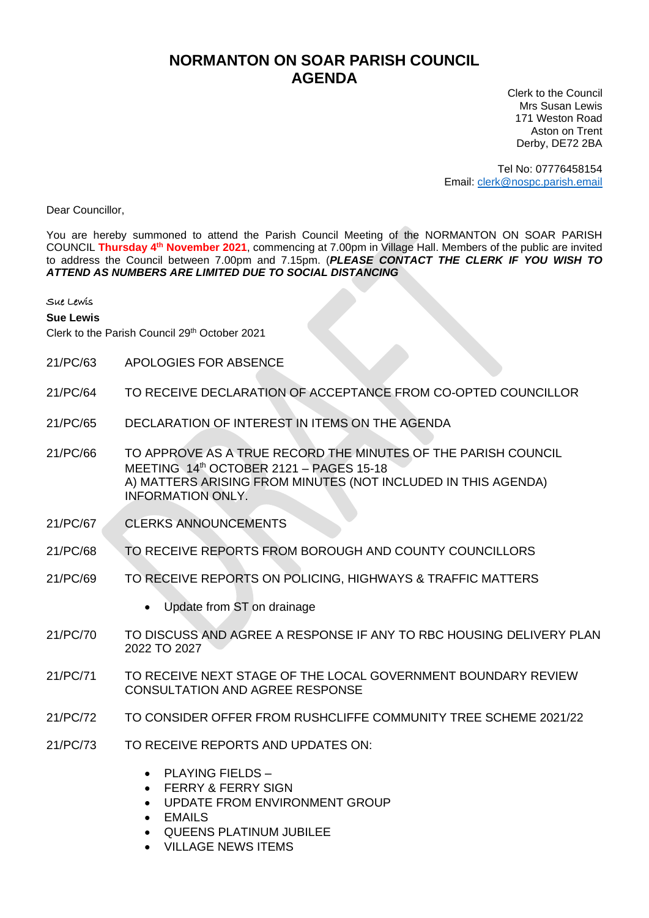## **NORMANTON ON SOAR PARISH COUNCIL AGENDA**

Clerk to the Council Mrs Susan Lewis 171 Weston Road Aston on Trent Derby, DE72 2BA

Tel No: 07776458154 Email: [clerk@nospc.parish.email](mailto:clerk@nospc.parish.email)

Dear Councillor,

You are hereby summoned to attend the Parish Council Meeting of the NORMANTON ON SOAR PARISH COUNCIL **Thursday 4 th November 2021**, commencing at 7.00pm in Village Hall. Members of the public are invited to address the Council between 7.00pm and 7.15pm. (*PLEASE CONTACT THE CLERK IF YOU WISH TO ATTEND AS NUMBERS ARE LIMITED DUE TO SOCIAL DISTANCING*

Sue Lewis

## **Sue Lewis**

Clerk to the Parish Council 29th October 2021

- 21/PC/63 APOLOGIES FOR ABSENCE
- 21/PC/64 TO RECEIVE DECLARATION OF ACCEPTANCE FROM CO-OPTED COUNCILLOR
- 21/PC/65 DECLARATION OF INTEREST IN ITEMS ON THE AGENDA
- 21/PC/66 TO APPROVE AS A TRUE RECORD THE MINUTES OF THE PARISH COUNCIL MEETING 14th OCTOBER 2121 – PAGES 15-18 A) MATTERS ARISING FROM MINUTES (NOT INCLUDED IN THIS AGENDA) INFORMATION ONLY.
- 21/PC/67 CLERKS ANNOUNCEMENTS
- 21/PC/68 TO RECEIVE REPORTS FROM BOROUGH AND COUNTY COUNCILLORS
- 21/PC/69 TO RECEIVE REPORTS ON POLICING, HIGHWAYS & TRAFFIC MATTERS
	- Update from ST on drainage
- 21/PC/70 TO DISCUSS AND AGREE A RESPONSE IF ANY TO RBC HOUSING DELIVERY PLAN 2022 TO 2027
- 21/PC/71 TO RECEIVE NEXT STAGE OF THE LOCAL GOVERNMENT BOUNDARY REVIEW CONSULTATION AND AGREE RESPONSE
- 21/PC/72 TO CONSIDER OFFER FROM RUSHCLIFFE COMMUNITY TREE SCHEME 2021/22
- 21/PC/73 TO RECEIVE REPORTS AND UPDATES ON:
	- PLAYING FIELDS –
	- FERRY & FERRY SIGN
	- UPDATE FROM ENVIRONMENT GROUP
	- **EMAILS**
	- QUEENS PLATINUM JUBILEE
	- VILLAGE NEWS ITEMS